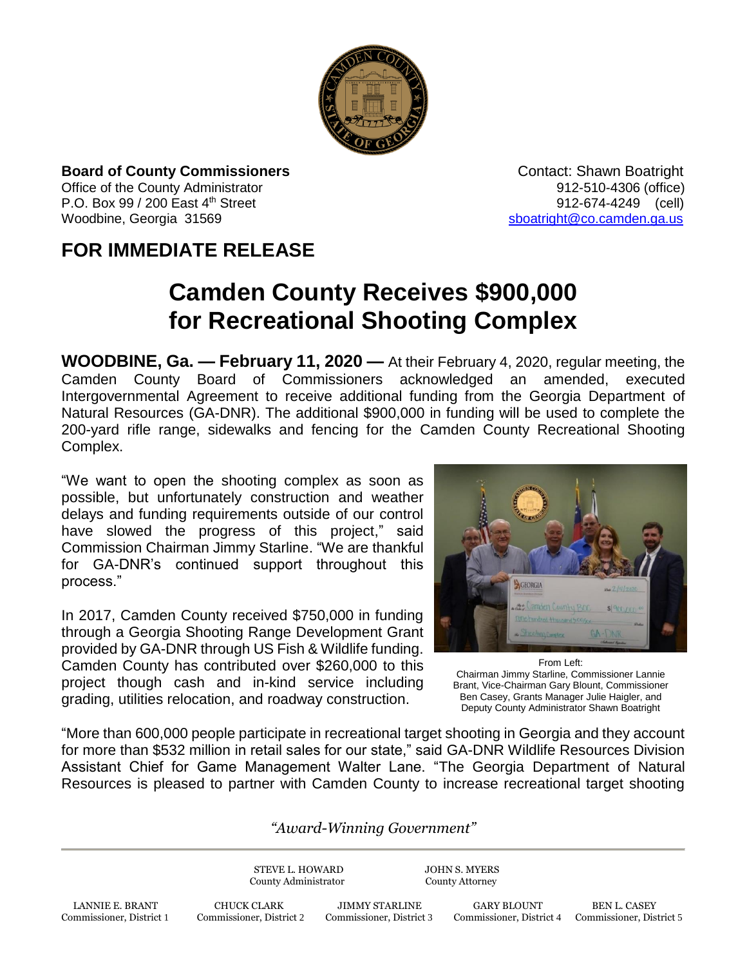

**Board of County Commissioners Contact: Shawn Boatright Contact: Shawn Boatright** Office of the County Administrator 912-510-4306 (office) P.O. Box 99 / 200 East 4<sup>th</sup> Street 912-674-4249 (cell)

Woodbine, Georgia 31569 [sboatright@co.camden.ga.us](mailto:sboatright@co.camden.ga.us)

## **FOR IMMEDIATE RELEASE**

## **Camden County Receives \$900,000 for Recreational Shooting Complex**

**WOODBINE, Ga. — February 11, 2020 —** At their February 4, 2020, regular meeting, the Camden County Board of Commissioners acknowledged an amended, executed Intergovernmental Agreement to receive additional funding from the Georgia Department of Natural Resources (GA-DNR). The additional \$900,000 in funding will be used to complete the 200-yard rifle range, sidewalks and fencing for the Camden County Recreational Shooting Complex.

"We want to open the shooting complex as soon as possible, but unfortunately construction and weather delays and funding requirements outside of our control have slowed the progress of this project," said Commission Chairman Jimmy Starline. "We are thankful for GA-DNR's continued support throughout this process."

In 2017, Camden County received \$750,000 in funding through a Georgia Shooting Range Development Grant provided by GA-DNR through US Fish & Wildlife funding. Camden County has contributed over \$260,000 to this project though cash and in-kind service including grading, utilities relocation, and roadway construction.



From Left: Chairman Jimmy Starline, Commissioner Lannie Brant, Vice-Chairman Gary Blount, Commissioner Ben Casey, Grants Manager Julie Haigler, and Deputy County Administrator Shawn Boatright

"More than 600,000 people participate in recreational target shooting in Georgia and they account for more than \$532 million in retail sales for our state," said GA-DNR Wildlife Resources Division Assistant Chief for Game Management Walter Lane. "The Georgia Department of Natural Resources is pleased to partner with Camden County to increase recreational target shooting

## *"Award-Winning Government"*

STEVE L. HOWARD JOHN S. MYERS County Administrator County Attorney

Commissioner, District 4 Commissioner, District 5